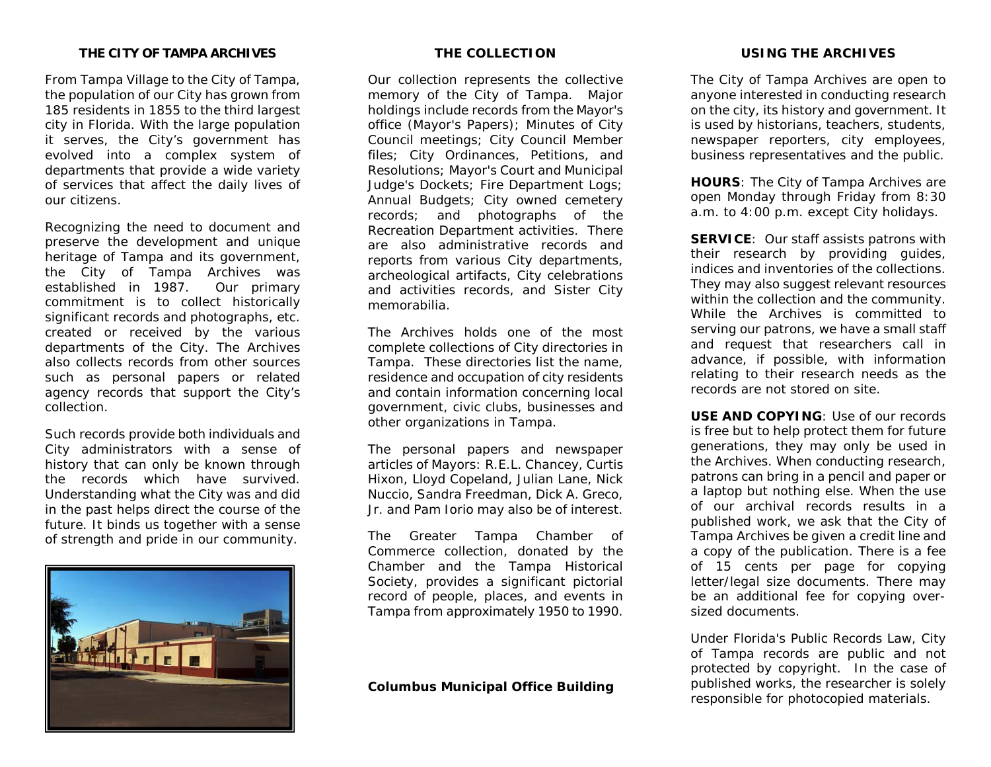## **THE CITY OF TAMPA ARCHIVES**

From Tampa Village to the City of Tampa, the population of our City has grown from 185 residents in 1855 to the third largest city in Florida. With the large population it serves, the City's government has evolved into a complex system of departments that provide a wide variety of services that affect the daily lives of our citizens.

Recognizing the need to document and preserve the development and unique heritage of Tampa and its government, the City of Tampa Archives was established in 1987. Our primary commitment is to collect historically significant records and photographs, etc. created or received by the various departments of the City. The Archives also collects records from other sources such as personal papers or related agency records that support the City's collection.

Such records provide both individuals and City administrators with a sense of history that can only be known through the records which have survived. Understanding what the City was and did in the past helps direct the course of the future. It binds us together with a sense of strength and pride in our community.



## **THE COLLECTION**

Our collection represents the collective memory of the City of Tampa. Major holdings include records from the Mayor's office (Mayor's Papers); Minutes of City Council meetings; City Council Member files; City Ordinances, Petitions, and Resolutions; Mayor's Court and Municipal Judge's Dockets; Fire Department Logs; Annual Budgets; City owned cemetery records; and photographs of the Recreation Department activities. There are also administrative records and reports from various City departments, archeological artifacts, City celebrations and activities records, and Sister City memorabilia.

The Archives holds one of the most complete collections of City directories in Tampa. These directories list the name, residence and occupation of city residents and contain information concerning local government, civic clubs, businesses and other organizations in Tampa.

The personal papers and newspaper articles of Mayors: R.E.L. Chancey, Curtis Hixon, Lloyd Copeland, Julian Lane, Nick Nuccio, Sandra Freedman, Dick A. Greco, Jr. and Pam Iorio may also be of interest.

The Greater Tampa Chamber of Commerce collection, donated by the Chamber and the Tampa Historical Society, provides a significant pictorial record of people, places, and events in Tampa from approximately 1950 to 1990.

**Columbus Municipal Office Building**

#### **USING THE ARCHIVES**

The City of Tampa Archives are open to anyone interested in conducting research on the city, its history and government. It is used by historians, teachers, students, newspaper reporters, city employees, business representatives and the public.

**HOURS**: The City of Tampa Archives are open Monday through Friday from 8:30 a.m. to 4:00 p.m. except City holidays.

**SERVICE**: Our staff assists patrons with their research by providing guides, indices and inventories of the collections. They may also suggest relevant resources within the collection and the community. While the Archives is committed to serving our patrons, we have a small staff and request that researchers call in advance, if possible, with information relating to their research needs as the records are not stored on site.

**USE AND COPYING**: Use of our records is free but to help protect them for future generations, they may only be used in the Archives. When conducting research, patrons can bring in a pencil and paper or a laptop but nothing else. When the use of our archival records results in a published work, we ask that the City of Tampa Archives be given a credit line and a copy of the publication. There is a fee of 15 cents per page for copying letter/legal size documents. There may be an additional fee for copying oversized documents.

Under Florida's Public Records Law, City of Tampa records are public and not protected by copyright. In the case of published works, the researcher is solely responsible for photocopied materials.